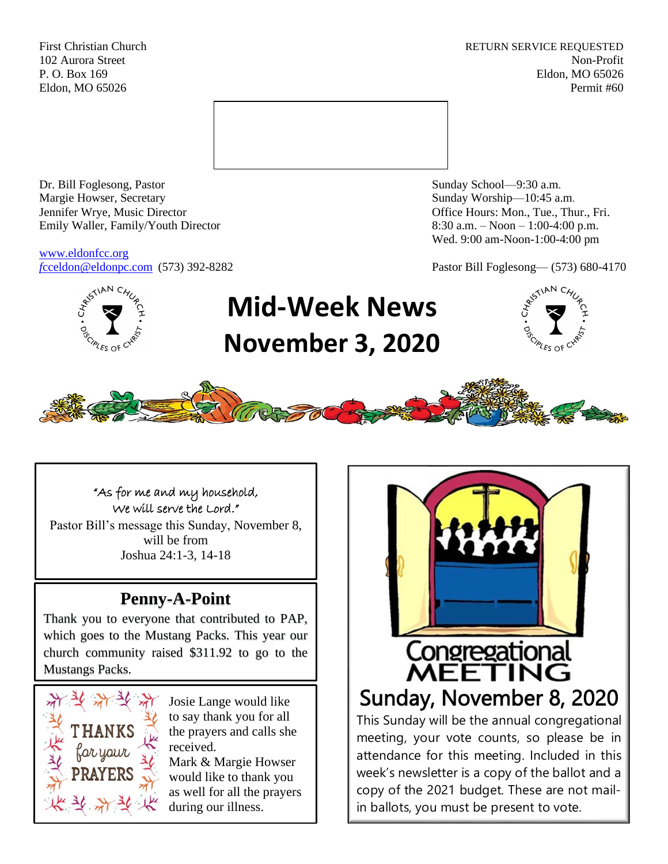First Christian Church **RETURN SERVICE REQUESTED** 102 Aurora Street Non-Profit P. O. Box 169 Eldon, MO 65026 Eldon, MO 65026 Permit #60



Dr. Bill Foglesong, Pastor Sunday School—9:30 a.m. Margie Howser, Secretary Sunday Worship—10:45 a.m. Jennifer Wrye, Music Director Office Hours: Mon., Tue., Thur., Fri. Emily Waller, Family/Youth Director 8:30 a.m. – Noon – 1:00-4:00 p.m.

[www.eldonfcc.org](http://www.eldonfcc.org/)

Wed. 9:00 am-Noon-1:00-4:00 pm

*f*[cceldon@eldonpc.com](mailto:fcceldon@eldonpc.com) (573) 392-8282 Pastor Bill Foglesong— (573) 680-4170



# **Mid-Week News November 3, 2020**





"As for me and my household, We will serve the Lord."

Pastor Bill's message this Sunday, November 8, will be from Joshua 24:1-3, 14-18

# **Penny-A-Point**

Thank you to everyone that contributed to PAP, which goes to the Mustang Packs. This year our church community raised \$311.92 to go to the Mustangs Packs.



Josie Lange would like to say thank you for all the prayers and calls she received.

Mark & Margie Howser would like to thank you as well for all the prayers during our illness.